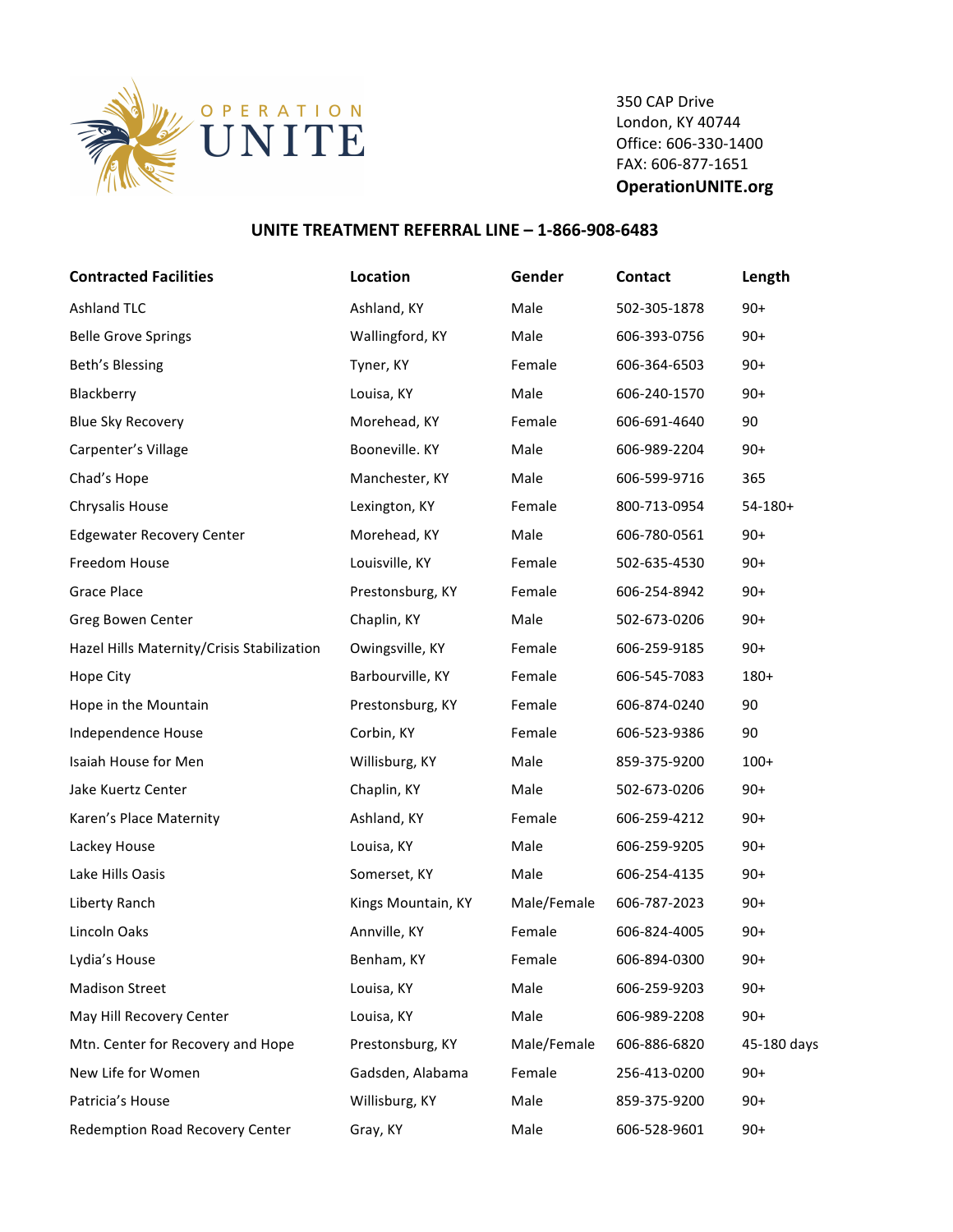

350 CAP Drive London, KY 40744 Office: 606-330-1400 FAX: 606-877-1651 **OperationUNITE.org**

## **UNITE TREATMENT REFERRAL LINE - 1-866-908-6483**

| <b>Contracted Facilities</b>               | Location           | Gender      | <b>Contact</b> | Length      |
|--------------------------------------------|--------------------|-------------|----------------|-------------|
| <b>Ashland TLC</b>                         | Ashland, KY        | Male        | 502-305-1878   | $90+$       |
| <b>Belle Grove Springs</b>                 | Wallingford, KY    | Male        | 606-393-0756   | $90+$       |
| Beth's Blessing                            | Tyner, KY          | Female      | 606-364-6503   | $90+$       |
| Blackberry                                 | Louisa, KY         | Male        | 606-240-1570   | $90+$       |
| <b>Blue Sky Recovery</b>                   | Morehead, KY       | Female      | 606-691-4640   | 90          |
| Carpenter's Village                        | Booneville. KY     | Male        | 606-989-2204   | $90+$       |
| Chad's Hope                                | Manchester, KY     | Male        | 606-599-9716   | 365         |
| Chrysalis House                            | Lexington, KY      | Female      | 800-713-0954   | $54-180+$   |
| <b>Edgewater Recovery Center</b>           | Morehead, KY       | Male        | 606-780-0561   | $90+$       |
| Freedom House                              | Louisville, KY     | Female      | 502-635-4530   | $90+$       |
| <b>Grace Place</b>                         | Prestonsburg, KY   | Female      | 606-254-8942   | $90+$       |
| Greg Bowen Center                          | Chaplin, KY        | Male        | 502-673-0206   | $90+$       |
| Hazel Hills Maternity/Crisis Stabilization | Owingsville, KY    | Female      | 606-259-9185   | $90+$       |
| Hope City                                  | Barbourville, KY   | Female      | 606-545-7083   | 180+        |
| Hope in the Mountain                       | Prestonsburg, KY   | Female      | 606-874-0240   | 90          |
| Independence House                         | Corbin, KY         | Female      | 606-523-9386   | 90          |
| Isaiah House for Men                       | Willisburg, KY     | Male        | 859-375-9200   | $100+$      |
| Jake Kuertz Center                         | Chaplin, KY        | Male        | 502-673-0206   | $90+$       |
| Karen's Place Maternity                    | Ashland, KY        | Female      | 606-259-4212   | $90+$       |
| Lackey House                               | Louisa, KY         | Male        | 606-259-9205   | $90+$       |
| Lake Hills Oasis                           | Somerset, KY       | Male        | 606-254-4135   | $90+$       |
| Liberty Ranch                              | Kings Mountain, KY | Male/Female | 606-787-2023   | $90+$       |
| Lincoln Oaks                               | Annville, KY       | Female      | 606-824-4005   | $90+$       |
| Lydia's House                              | Benham, KY         | Female      | 606-894-0300   | $90+$       |
| <b>Madison Street</b>                      | Louisa, KY         | Male        | 606-259-9203   | $90+$       |
| May Hill Recovery Center                   | Louisa, KY         | Male        | 606-989-2208   | $90+$       |
| Mtn. Center for Recovery and Hope          | Prestonsburg, KY   | Male/Female | 606-886-6820   | 45-180 days |
| New Life for Women                         | Gadsden, Alabama   | Female      | 256-413-0200   | $90+$       |
| Patricia's House                           | Willisburg, KY     | Male        | 859-375-9200   | $90+$       |
| Redemption Road Recovery Center            | Gray, KY           | Male        | 606-528-9601   | $90+$       |